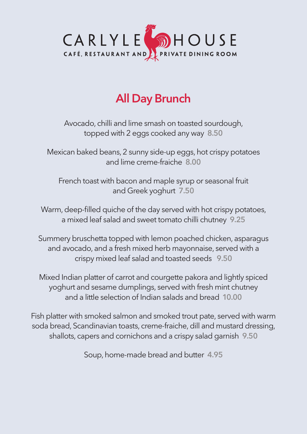

# **All Day Brunch**

Avocado, chilli and lime smash on toasted sourdough, topped with 2 eggs cooked any way **8.50**

Mexican baked beans, 2 sunny side-up eggs, hot crispy potatoes and lime creme-fraiche **8.00**

French toast with bacon and maple syrup or seasonal fruit and Greek yoghurt **7.50**

Warm, deep-filled quiche of the day served with hot crispy potatoes, a mixed leaf salad and sweet tomato chilli chutney **9.25**

Summery bruschetta topped with lemon poached chicken, asparagus and avocado, and a fresh mixed herb mayonnaise, served with a crispy mixed leaf salad and toasted seeds **9.50**

Mixed Indian platter of carrot and courgette pakora and lightly spiced yoghurt and sesame dumplings, served with fresh mint chutney and a little selection of Indian salads and bread **10.00**

Fish platter with smoked salmon and smoked trout pate, served with warm soda bread, Scandinavian toasts, creme-fraiche, dill and mustard dressing, shallots, capers and cornichons and a crispy salad garnish **9.50**

Soup, home-made bread and butter **4.95**